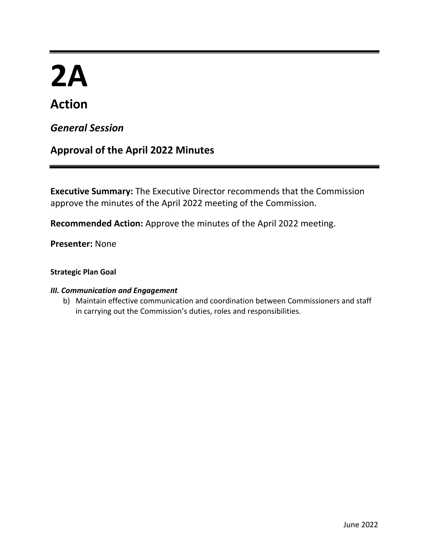# **2A**

# **Action**

# *General Session*

# **Approval of the April 2022 Minutes**

**Executive Summary:** The Executive Director recommends that the Commission approve the minutes of the April 2022 meeting of the Commission.

**Recommended Action:** Approve the minutes of the April 2022 meeting.

**Presenter:** None

# **Strategic Plan Goal**

# *III. Communication and Engagement*

b) Maintain effective communication and coordination between Commissioners and staff in carrying out the Commission's duties, roles and responsibilities.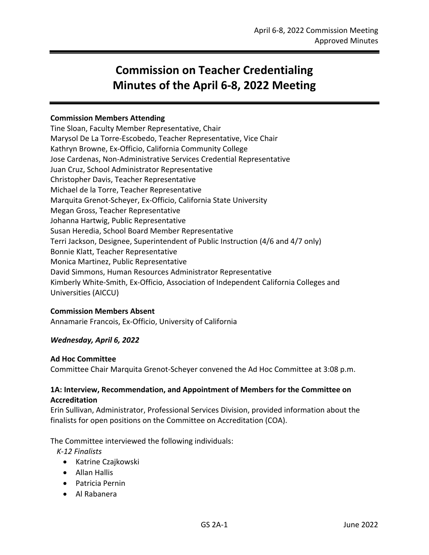# **Commission on Teacher Credentialing Minutes of the April 6-8, 2022 Meeting**

# **Commission Members Attending**

Tine Sloan, Faculty Member Representative, Chair Marysol De La Torre-Escobedo, Teacher Representative, Vice Chair Kathryn Browne, Ex-Officio, California Community College Jose Cardenas, Non-Administrative Services Credential Representative Juan Cruz, School Administrator Representative Christopher Davis, Teacher Representative Michael de la Torre, Teacher Representative Marquita Grenot-Scheyer, Ex-Officio, California State University Megan Gross, Teacher Representative Johanna Hartwig, Public Representative Susan Heredia, School Board Member Representative Terri Jackson, Designee, Superintendent of Public Instruction (4/6 and 4/7 only) Bonnie Klatt, Teacher Representative Monica Martinez, Public Representative David Simmons, Human Resources Administrator Representative Kimberly White-Smith, Ex-Officio, Association of Independent California Colleges and Universities (AICCU)

# **Commission Members Absent**

Annamarie Francois, Ex-Officio, University of California

# *Wednesday, April 6, 2022*

# **Ad Hoc Committee**

Committee Chair Marquita Grenot-Scheyer convened the Ad Hoc Committee at 3:08 p.m.

# **1A: Interview, Recommendation, and Appointment of Members for the Committee on Accreditation**

Erin Sullivan, Administrator, Professional Services Division, provided information about the finalists for open positions on the Committee on Accreditation (COA).

The Committee interviewed the following individuals:

*K-12 Finalists*

- Katrine Czajkowski
- Allan Hallis
- Patricia Pernin
- Al Rabanera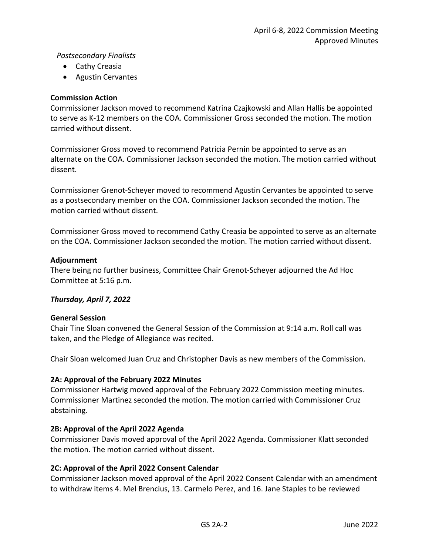# *Postsecondary Finalists*

- Cathy Creasia
- Agustin Cervantes

# **Commission Action**

Commissioner Jackson moved to recommend Katrina Czajkowski and Allan Hallis be appointed to serve as K-12 members on the COA. Commissioner Gross seconded the motion. The motion carried without dissent.

Commissioner Gross moved to recommend Patricia Pernin be appointed to serve as an alternate on the COA. Commissioner Jackson seconded the motion. The motion carried without dissent.

Commissioner Grenot-Scheyer moved to recommend Agustin Cervantes be appointed to serve as a postsecondary member on the COA. Commissioner Jackson seconded the motion. The motion carried without dissent.

Commissioner Gross moved to recommend Cathy Creasia be appointed to serve as an alternate on the COA. Commissioner Jackson seconded the motion. The motion carried without dissent.

# **Adjournment**

There being no further business, Committee Chair Grenot-Scheyer adjourned the Ad Hoc Committee at 5:16 p.m.

# *Thursday, April 7, 2022*

# **General Session**

Chair Tine Sloan convened the General Session of the Commission at 9:14 a.m. Roll call was taken, and the Pledge of Allegiance was recited.

Chair Sloan welcomed Juan Cruz and Christopher Davis as new members of the Commission.

# **2A: Approval of the February 2022 Minutes**

Commissioner Hartwig moved approval of the February 2022 Commission meeting minutes. Commissioner Martinez seconded the motion. The motion carried with Commissioner Cruz abstaining.

# **2B: Approval of the April 2022 Agenda**

Commissioner Davis moved approval of the April 2022 Agenda. Commissioner Klatt seconded the motion. The motion carried without dissent.

# **2C: Approval of the April 2022 Consent Calendar**

Commissioner Jackson moved approval of the April 2022 Consent Calendar with an amendment to withdraw items 4. Mel Brencius, 13. Carmelo Perez, and 16. Jane Staples to be reviewed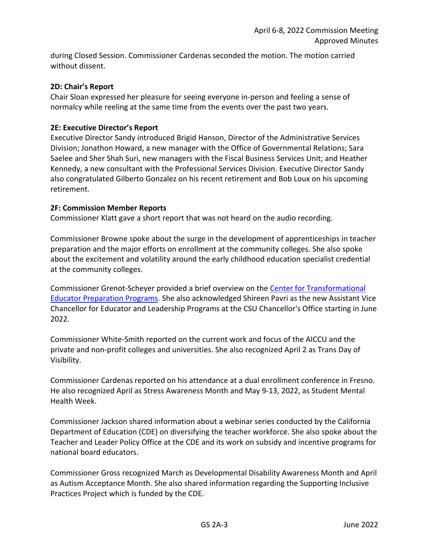during Closed Session. Commissioner Cardenas seconded the motion. The motion carried without dissent.

# **2D: Chair's Report**

Chair Sloan expressed her pleasure for seeing everyone in-person and feeling a sense of normalcy while reeling at the same time from the events over the past two years.

# **2E: Executive Director's Report**

Executive Director Sandy introduced Brigid Hanson, Director of the Administrative Services Division; Jonathon Howard, a new manager with the Office of Governmental Relations; Sara Saelee and Sher Shah Suri, new managers with the Fiscal Business Services Unit; and Heather Kennedy, a new consultant with the Professional Services Division. Executive Director Sandy also congratulated Gilberto Gonzalez on his recent retirement and Bob Loux on his upcoming retirement.

# **2F: Commission Member Reports**

Commissioner Klatt gave a short report that was not heard on the audio recording.

Commissioner Browne spoke about the surge in the development of apprenticeships in teacher preparation and the major efforts on enrollment at the community colleges. She also spoke about the excitement and volatility around the early childhood education specialist credential at the community colleges.

Commissioner Grenot-Scheyer provided a brief overview on the [Center for Transformational](https://ctepp.calstate.edu/)  [Educator Preparation Programs.](https://ctepp.calstate.edu/) She also acknowledged Shireen Pavri as the new Assistant Vice Chancellor for Educator and Leadership Programs at the CSU Chancellor's Office starting in June 2022.

Commissioner White-Smith reported on the current work and focus of the AICCU and the private and non-profit colleges and universities. She also recognized April 2 as Trans Day of Visibility.

Commissioner Cardenas reported on his attendance at a dual enrollment conference in Fresno. He also recognized April as Stress Awareness Month and May 9-13, 2022, as Student Mental Health Week.

Commissioner Jackson shared information about a webinar series conducted by the California Department of Education (CDE) on diversifying the teacher workforce. She also spoke about the Teacher and Leader Policy Office at the CDE and its work on subsidy and incentive programs for national board educators.

Commissioner Gross recognized March as Developmental Disability Awareness Month and April as Autism Acceptance Month. She also shared information regarding the Supporting Inclusive Practices Project which is funded by the CDE.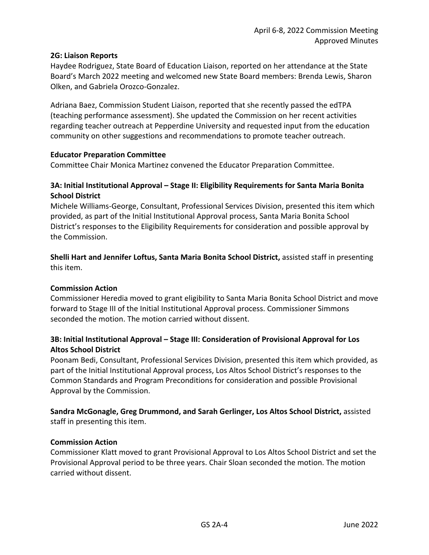# **2G: Liaison Reports**

Haydee Rodriguez, State Board of Education Liaison, reported on her attendance at the State Board's March 2022 meeting and welcomed new State Board members: Brenda Lewis, Sharon Olken, and Gabriela Orozco-Gonzalez.

Adriana Baez, Commission Student Liaison, reported that she recently passed the edTPA (teaching performance assessment). She updated the Commission on her recent activities regarding teacher outreach at Pepperdine University and requested input from the education community on other suggestions and recommendations to promote teacher outreach.

# **Educator Preparation Committee**

Committee Chair Monica Martinez convened the Educator Preparation Committee.

# **3A: Initial Institutional Approval – Stage II: Eligibility Requirements for Santa Maria Bonita School District**

Michele Williams-George, Consultant, Professional Services Division, presented this item which provided, as part of the Initial Institutional Approval process, Santa Maria Bonita School District's responses to the Eligibility Requirements for consideration and possible approval by the Commission.

**Shelli Hart and Jennifer Loftus, Santa Maria Bonita School District,** assisted staff in presenting this item.

# **Commission Action**

Commissioner Heredia moved to grant eligibility to Santa Maria Bonita School District and move forward to Stage III of the Initial Institutional Approval process. Commissioner Simmons seconded the motion. The motion carried without dissent.

# **3B: Initial Institutional Approval – Stage III: Consideration of Provisional Approval for Los Altos School District**

Poonam Bedi, Consultant, Professional Services Division, presented this item which provided, as part of the Initial Institutional Approval process, Los Altos School District's responses to the Common Standards and Program Preconditions for consideration and possible Provisional Approval by the Commission.

# **Sandra McGonagle, Greg Drummond, and Sarah Gerlinger, Los Altos School District,** assisted staff in presenting this item.

# **Commission Action**

Commissioner Klatt moved to grant Provisional Approval to Los Altos School District and set the Provisional Approval period to be three years. Chair Sloan seconded the motion. The motion carried without dissent.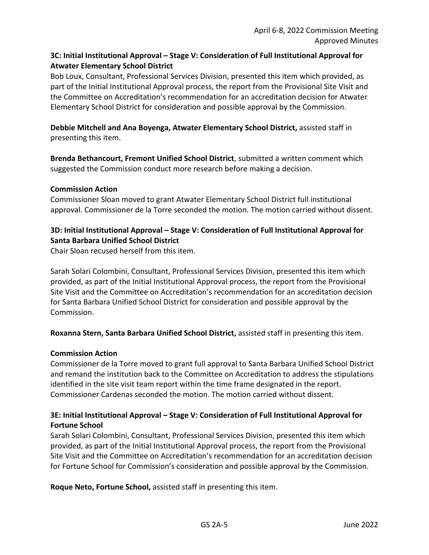# **3C: Initial Institutional Approval – Stage V: Consideration of Full Institutional Approval for Atwater Elementary School District**

Bob Loux, Consultant, Professional Services Division, presented this item which provided, as part of the Initial Institutional Approval process, the report from the Provisional Site Visit and the Committee on Accreditation's recommendation for an accreditation decision for Atwater Elementary School District for consideration and possible approval by the Commission.

**Debbie Mitchell and Ana Boyenga, Atwater Elementary School District,** assisted staff in presenting this item.

**Brenda Bethancourt, Fremont Unified School District**, submitted a written comment which suggested the Commission conduct more research before making a decision.

# **Commission Action**

Commissioner Sloan moved to grant Atwater Elementary School District full institutional approval. Commissioner de la Torre seconded the motion. The motion carried without dissent.

# **3D: Initial Institutional Approval – Stage V: Consideration of Full Institutional Approval for Santa Barbara Unified School District**

Chair Sloan recused herself from this item.

Sarah Solari Colombini, Consultant, Professional Services Division, presented this item which provided, as part of the Initial Institutional Approval process, the report from the Provisional Site Visit and the Committee on Accreditation's recommendation for an accreditation decision for Santa Barbara Unified School District for consideration and possible approval by the Commission.

**Roxanna Stern, Santa Barbara Unified School District,** assisted staff in presenting this item.

# **Commission Action**

Commissioner de la Torre moved to grant full approval to Santa Barbara Unified School District and remand the institution back to the Committee on Accreditation to address the stipulations identified in the site visit team report within the time frame designated in the report. Commissioner Cardenas seconded the motion. The motion carried without dissent.

# **3E: Initial Institutional Approval – Stage V: Consideration of Full Institutional Approval for Fortune School**

Sarah Solari Colombini, Consultant, Professional Services Division, presented this item which provided, as part of the Initial Institutional Approval process, the report from the Provisional Site Visit and the Committee on Accreditation's recommendation for an accreditation decision for Fortune School for Commission's consideration and possible approval by the Commission.

**Roque Neto, Fortune School,** assisted staff in presenting this item.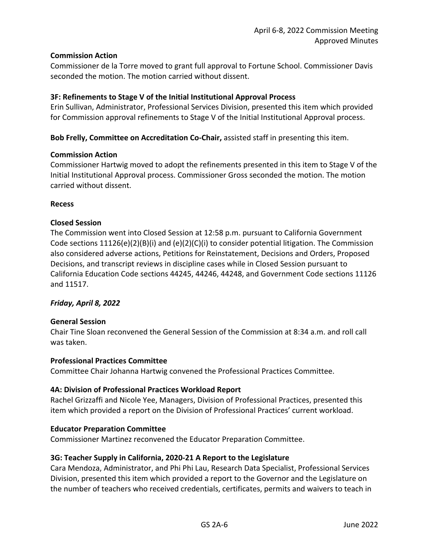# **Commission Action**

Commissioner de la Torre moved to grant full approval to Fortune School. Commissioner Davis seconded the motion. The motion carried without dissent.

# **3F: Refinements to Stage V of the Initial Institutional Approval Process**

Erin Sullivan, Administrator, Professional Services Division, presented this item which provided for Commission approval refinements to Stage V of the Initial Institutional Approval process.

**Bob Frelly, Committee on Accreditation Co-Chair,** assisted staff in presenting this item.

# **Commission Action**

Commissioner Hartwig moved to adopt the refinements presented in this item to Stage V of the Initial Institutional Approval process. Commissioner Gross seconded the motion. The motion carried without dissent.

# **Recess**

# **Closed Session**

The Commission went into Closed Session at 12:58 p.m. pursuant to California Government Code sections 11126(e)(2)(B)(i) and (e)(2)(C)(i) to consider potential litigation. The Commission also considered adverse actions, Petitions for Reinstatement, Decisions and Orders, Proposed Decisions, and transcript reviews in discipline cases while in Closed Session pursuant to California Education Code sections 44245, 44246, 44248, and Government Code sections 11126 and 11517.

# *Friday, April 8, 2022*

# **General Session**

Chair Tine Sloan reconvened the General Session of the Commission at 8:34 a.m. and roll call was taken.

# **Professional Practices Committee**

Committee Chair Johanna Hartwig convened the Professional Practices Committee.

# **4A: Division of Professional Practices Workload Report**

Rachel Grizzaffi and Nicole Yee, Managers, Division of Professional Practices, presented this item which provided a report on the Division of Professional Practices' current workload.

# **Educator Preparation Committee**

Commissioner Martinez reconvened the Educator Preparation Committee.

# **3G: Teacher Supply in California, 2020-21 A Report to the Legislature**

Cara Mendoza, Administrator, and Phi Phi Lau, Research Data Specialist, Professional Services Division, presented this item which provided a report to the Governor and the Legislature on the number of teachers who received credentials, certificates, permits and waivers to teach in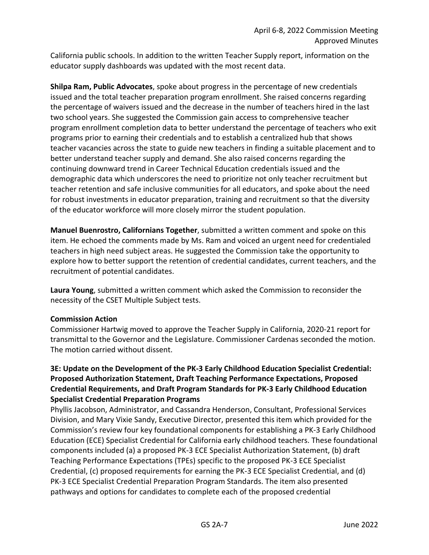California public schools. In addition to the written Teacher Supply report, information on the educator supply dashboards was updated with the most recent data.

**Shilpa Ram, Public Advocates**, spoke about progress in the percentage of new credentials issued and the total teacher preparation program enrollment. She raised concerns regarding the percentage of waivers issued and the decrease in the number of teachers hired in the last two school years. She suggested the Commission gain access to comprehensive teacher program enrollment completion data to better understand the percentage of teachers who exit programs prior to earning their credentials and to establish a centralized hub that shows teacher vacancies across the state to guide new teachers in finding a suitable placement and to better understand teacher supply and demand. She also raised concerns regarding the continuing downward trend in Career Technical Education credentials issued and the demographic data which underscores the need to prioritize not only teacher recruitment but teacher retention and safe inclusive communities for all educators, and spoke about the need for robust investments in educator preparation, training and recruitment so that the diversity of the educator workforce will more closely mirror the student population.

**Manuel Buenrostro, Californians Together**, submitted a written comment and spoke on this item. He echoed the comments made by Ms. Ram and voiced an urgent need for credentialed teachers in high need subject areas. He suggested the Commission take the opportunity to explore how to better support the retention of credential candidates, current teachers, and the recruitment of potential candidates.

**Laura Young**, submitted a written comment which asked the Commission to reconsider the necessity of the CSET Multiple Subject tests.

# **Commission Action**

Commissioner Hartwig moved to approve the Teacher Supply in California, 2020-21 report for transmittal to the Governor and the Legislature. Commissioner Cardenas seconded the motion. The motion carried without dissent.

# **3E: Update on the Development of the PK-3 Early Childhood Education Specialist Credential: Proposed Authorization Statement, Draft Teaching Performance Expectations, Proposed Credential Requirements, and Draft Program Standards for PK-3 Early Childhood Education Specialist Credential Preparation Programs**

Phyllis Jacobson, Administrator, and Cassandra Henderson, Consultant, Professional Services Division, and Mary Vixie Sandy, Executive Director, presented this item which provided for the Commission's review four key foundational components for establishing a PK-3 Early Childhood Education (ECE) Specialist Credential for California early childhood teachers. These foundational components included (a) a proposed PK-3 ECE Specialist Authorization Statement, (b) draft Teaching Performance Expectations (TPEs) specific to the proposed PK-3 ECE Specialist Credential, (c) proposed requirements for earning the PK-3 ECE Specialist Credential, and (d) PK-3 ECE Specialist Credential Preparation Program Standards. The item also presented pathways and options for candidates to complete each of the proposed credential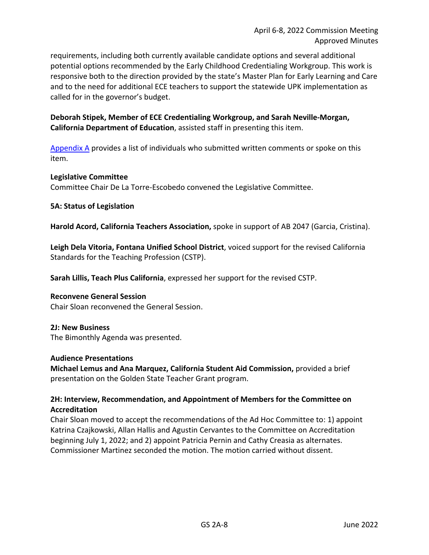requirements, including both currently available candidate options and several additional potential options recommended by the Early Childhood Credentialing Workgroup. This work is responsive both to the direction provided by the state's Master Plan for Early Learning and Care and to the need for additional ECE teachers to support the statewide UPK implementation as called for in the governor's budget.

**Deborah Stipek, Member of ECE Credentialing Workgroup, and Sarah Neville-Morgan, California Department of Education**, assisted staff in presenting this item.

[Appendix A](#page-11-0) provides a list of individuals who submitted written comments or spoke on this item.

# **Legislative Committee**

Committee Chair De La Torre-Escobedo convened the Legislative Committee.

# **5A: Status of Legislation**

**Harold Acord, California Teachers Association,** spoke in support of AB 2047 (Garcia, Cristina).

**Leigh Dela Vitoria, Fontana Unified School District**, voiced support for the revised California Standards for the Teaching Profession (CSTP).

**Sarah Lillis, Teach Plus California**, expressed her support for the revised CSTP.

# **Reconvene General Session**

Chair Sloan reconvened the General Session.

# **2J: New Business**

The Bimonthly Agenda was presented.

# **Audience Presentations**

**Michael Lemus and Ana Marquez, California Student Aid Commission,** provided a brief presentation on the Golden State Teacher Grant program.

# **2H: Interview, Recommendation, and Appointment of Members for the Committee on Accreditation**

Chair Sloan moved to accept the recommendations of the Ad Hoc Committee to: 1) appoint Katrina Czajkowski, Allan Hallis and Agustin Cervantes to the Committee on Accreditation beginning July 1, 2022; and 2) appoint Patricia Pernin and Cathy Creasia as alternates. Commissioner Martinez seconded the motion. The motion carried without dissent.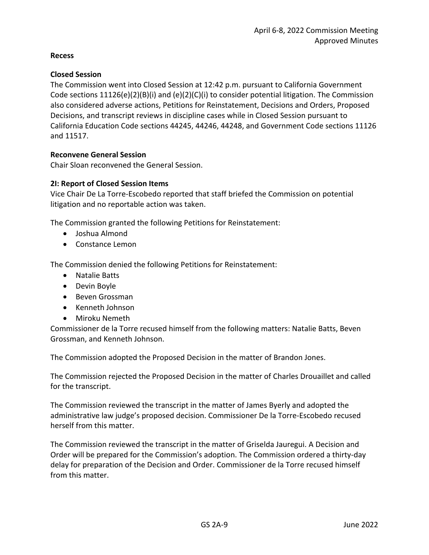# **Recess**

# **Closed Session**

The Commission went into Closed Session at 12:42 p.m. pursuant to California Government Code sections  $11126(e)(2)(B)(i)$  and  $(e)(2)(C)(i)$  to consider potential litigation. The Commission also considered adverse actions, Petitions for Reinstatement, Decisions and Orders, Proposed Decisions, and transcript reviews in discipline cases while in Closed Session pursuant to California Education Code sections 44245, 44246, 44248, and Government Code sections 11126 and 11517.

# **Reconvene General Session**

Chair Sloan reconvened the General Session.

# **2I: Report of Closed Session Items**

Vice Chair De La Torre-Escobedo reported that staff briefed the Commission on potential litigation and no reportable action was taken.

The Commission granted the following Petitions for Reinstatement:

- Joshua Almond
- Constance Lemon

The Commission denied the following Petitions for Reinstatement:

- Natalie Batts
- Devin Boyle
- Beven Grossman
- Kenneth Johnson
- Miroku Nemeth

Commissioner de la Torre recused himself from the following matters: Natalie Batts, Beven Grossman, and Kenneth Johnson.

The Commission adopted the Proposed Decision in the matter of Brandon Jones.

The Commission rejected the Proposed Decision in the matter of Charles Drouaillet and called for the transcript.

The Commission reviewed the transcript in the matter of James Byerly and adopted the administrative law judge's proposed decision. Commissioner De la Torre-Escobedo recused herself from this matter.

The Commission reviewed the transcript in the matter of Griselda Jauregui. A Decision and Order will be prepared for the Commission's adoption. The Commission ordered a thirty-day delay for preparation of the Decision and Order. Commissioner de la Torre recused himself from this matter.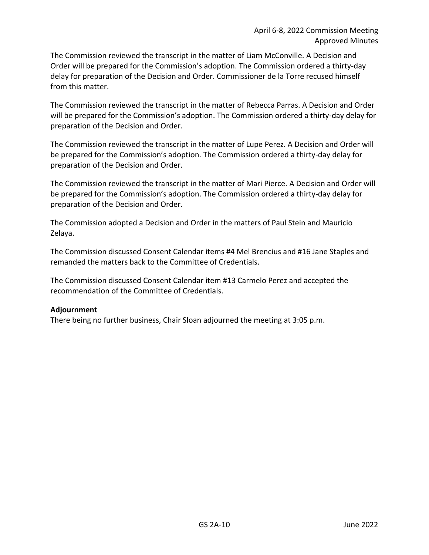The Commission reviewed the transcript in the matter of Liam McConville. A Decision and Order will be prepared for the Commission's adoption. The Commission ordered a thirty-day delay for preparation of the Decision and Order. Commissioner de la Torre recused himself from this matter.

The Commission reviewed the transcript in the matter of Rebecca Parras. A Decision and Order will be prepared for the Commission's adoption. The Commission ordered a thirty-day delay for preparation of the Decision and Order.

The Commission reviewed the transcript in the matter of Lupe Perez. A Decision and Order will be prepared for the Commission's adoption. The Commission ordered a thirty-day delay for preparation of the Decision and Order.

The Commission reviewed the transcript in the matter of Mari Pierce. A Decision and Order will be prepared for the Commission's adoption. The Commission ordered a thirty-day delay for preparation of the Decision and Order.

The Commission adopted a Decision and Order in the matters of Paul Stein and Mauricio Zelaya.

The Commission discussed Consent Calendar items #4 Mel Brencius and #16 Jane Staples and remanded the matters back to the Committee of Credentials.

The Commission discussed Consent Calendar item #13 Carmelo Perez and accepted the recommendation of the Committee of Credentials.

# **Adjournment**

There being no further business, Chair Sloan adjourned the meeting at 3:05 p.m.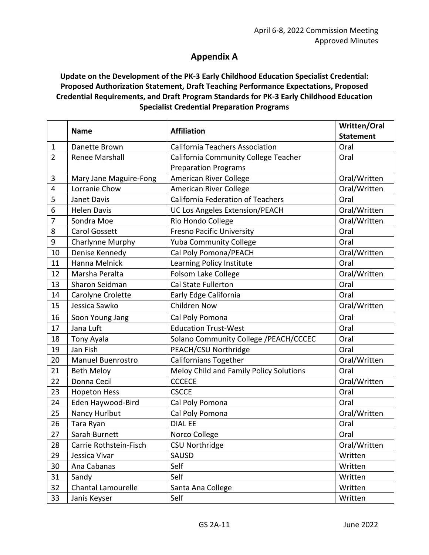# **Appendix A**

# <span id="page-11-0"></span>**Update on the Development of the PK-3 Early Childhood Education Specialist Credential: Proposed Authorization Statement, Draft Teaching Performance Expectations, Proposed Credential Requirements, and Draft Program Standards for PK-3 Early Childhood Education Specialist Credential Preparation Programs**

|                | <b>Name</b>                             | <b>Affiliation</b>                                                 | Written/Oral             |
|----------------|-----------------------------------------|--------------------------------------------------------------------|--------------------------|
| $\mathbf{1}$   | Danette Brown                           | <b>California Teachers Association</b>                             | <b>Statement</b><br>Oral |
| $\overline{2}$ | <b>Renee Marshall</b>                   | California Community College Teacher                               | Oral                     |
|                |                                         | <b>Preparation Programs</b>                                        |                          |
| 3              |                                         | American River College                                             | Oral/Written             |
| $\overline{4}$ | Mary Jane Maguire-Fong<br>Lorranie Chow |                                                                    | Oral/Written             |
|                |                                         | American River College<br><b>California Federation of Teachers</b> | Oral                     |
| 5              | Janet Davis<br><b>Helen Davis</b>       |                                                                    |                          |
| 6              |                                         | <b>UC Los Angeles Extension/PEACH</b>                              | Oral/Written             |
| 7              | Sondra Moe                              | Rio Hondo College                                                  | Oral/Written             |
| 8              | <b>Carol Gossett</b>                    | <b>Fresno Pacific University</b>                                   | Oral                     |
| 9              | Charlynne Murphy                        | <b>Yuba Community College</b>                                      | Oral                     |
| 10             | Denise Kennedy                          | Cal Poly Pomona/PEACH                                              | Oral/Written             |
| 11             | Hanna Melnick                           | Learning Policy Institute                                          | Oral                     |
| 12             | Marsha Peralta                          | <b>Folsom Lake College</b>                                         | Oral/Written             |
| 13             | Sharon Seidman                          | <b>Cal State Fullerton</b>                                         | Oral                     |
| 14             | Carolyne Crolette                       | Early Edge California                                              | Oral                     |
| 15             | Jessica Sawko                           | <b>Children Now</b>                                                | Oral/Written             |
| 16             | Soon Young Jang                         | Cal Poly Pomona                                                    | Oral                     |
| 17             | Jana Luft                               | <b>Education Trust-West</b>                                        | Oral                     |
| 18             | Tony Ayala                              | Solano Community College /PEACH/CCCEC                              | Oral                     |
| 19             | Jan Fish                                | PEACH/CSU Northridge                                               | Oral                     |
| 20             | <b>Manuel Buenrostro</b>                | Californians Together                                              | Oral/Written             |
| 21             | <b>Beth Meloy</b>                       | Meloy Child and Family Policy Solutions                            | Oral                     |
| 22             | Donna Cecil                             | <b>CCCECE</b>                                                      | Oral/Written             |
| 23             | <b>Hopeton Hess</b>                     | <b>CSCCE</b>                                                       | Oral                     |
| 24             | Eden Haywood-Bird                       | Cal Poly Pomona                                                    | Oral                     |
| 25             | Nancy Hurlbut                           | Cal Poly Pomona                                                    | Oral/Written             |
| 26             | Tara Ryan                               | <b>DIAL EE</b>                                                     | Oral                     |
| 27             | Sarah Burnett                           | Norco College                                                      | Oral                     |
| 28             | Carrie Rothstein-Fisch                  | <b>CSU Northridge</b>                                              | Oral/Written             |
| 29             | Jessica Vivar                           | SAUSD                                                              | Written                  |
| 30             | Ana Cabanas                             | Self                                                               | Written                  |
| 31             | Sandy                                   | Self                                                               | Written                  |
| 32             | <b>Chantal Lamourelle</b>               | Santa Ana College                                                  | Written                  |
| 33             | Janis Keyser                            | Self                                                               | Written                  |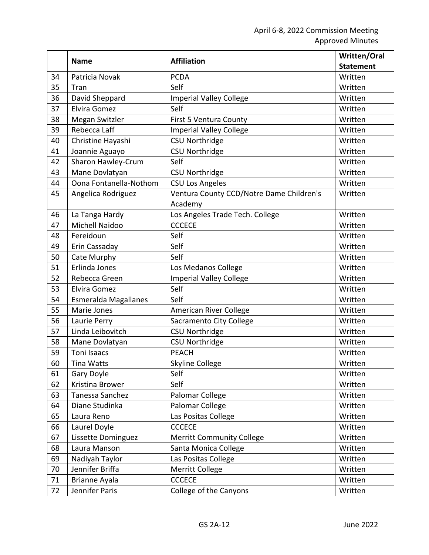|    | <b>Name</b>                 | <b>Affiliation</b>                       | <b>Written/Oral</b> |
|----|-----------------------------|------------------------------------------|---------------------|
|    |                             |                                          | <b>Statement</b>    |
| 34 | Patricia Novak              | <b>PCDA</b>                              | Written             |
| 35 | Tran                        | Self                                     | Written             |
| 36 | David Sheppard              | <b>Imperial Valley College</b>           | Written             |
| 37 | Elvira Gomez                | Self                                     | Written             |
| 38 | Megan Switzler              | First 5 Ventura County                   | Written             |
| 39 | Rebecca Laff                | <b>Imperial Valley College</b>           | Written             |
| 40 | Christine Hayashi           | <b>CSU Northridge</b>                    | Written             |
| 41 | Joannie Aguayo              | <b>CSU Northridge</b>                    | Written             |
| 42 | Sharon Hawley-Crum          | Self                                     | Written             |
| 43 | Mane Dovlatyan              | <b>CSU Northridge</b>                    | Written             |
| 44 | Oona Fontanella-Nothom      | <b>CSU Los Angeles</b>                   | Written             |
| 45 | Angelica Rodriguez          | Ventura County CCD/Notre Dame Children's | Written             |
|    |                             | Academy                                  |                     |
| 46 | La Tanga Hardy              | Los Angeles Trade Tech. College          | Written             |
| 47 | <b>Michell Naidoo</b>       | <b>CCCECE</b>                            | Written             |
| 48 | Fereidoun                   | Self                                     | Written             |
| 49 | Erin Cassaday               | Self                                     | Written             |
| 50 | Cate Murphy                 | Self                                     | Written             |
| 51 | Erlinda Jones               | Los Medanos College                      | Written             |
| 52 | Rebecca Green               | <b>Imperial Valley College</b>           | Written             |
| 53 | Elvira Gomez                | Self                                     | Written             |
| 54 | <b>Esmeralda Magallanes</b> | Self                                     | Written             |
| 55 | Marie Jones                 | American River College                   | Written             |
| 56 | Laurie Perry                | Sacramento City College                  | Written             |
| 57 | Linda Leibovitch            | <b>CSU Northridge</b>                    | Written             |
| 58 | Mane Dovlatyan              | <b>CSU Northridge</b>                    | Written             |
| 59 | <b>Toni Isaacs</b>          | <b>PEACH</b>                             | Written             |
| 60 | Tina Watts                  | Skyline College                          | Written             |
| 61 | Gary Doyle                  | Self                                     | Written             |
| 62 | Kristina Brower             | Self                                     | Written             |
| 63 | Tanessa Sanchez             | Palomar College                          | Written             |
| 64 | Diane Studinka              | Palomar College                          | Written             |
| 65 | Laura Reno                  | Las Positas College                      | Written             |
| 66 | Laurel Doyle                | <b>CCCECE</b>                            | Written             |
| 67 | Lissette Dominguez          | <b>Merritt Community College</b>         | Written             |
| 68 | Laura Manson                | Santa Monica College                     | Written             |
| 69 | Nadiyah Taylor              | Las Positas College                      | Written             |
| 70 | Jennifer Briffa             | Merritt College                          | Written             |
| 71 | Brianne Ayala               | <b>CCCECE</b>                            | Written             |
| 72 | Jennifer Paris              | College of the Canyons                   | Written             |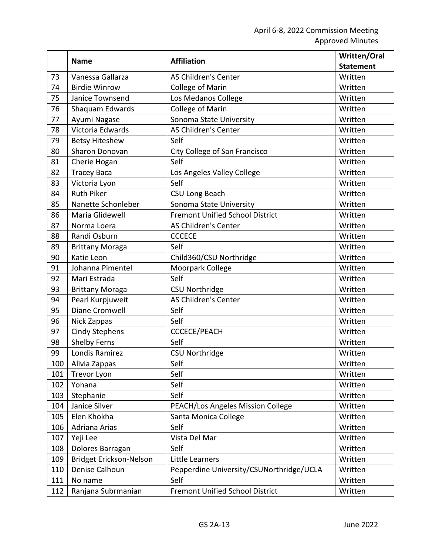|     | <b>Name</b>             | <b>Affiliation</b>                       | Written/Oral     |
|-----|-------------------------|------------------------------------------|------------------|
|     |                         |                                          | <b>Statement</b> |
| 73  | Vanessa Gallarza        | <b>AS Children's Center</b>              | Written          |
| 74  | <b>Birdie Winrow</b>    | College of Marin                         | Written          |
| 75  | Janice Townsend         | Los Medanos College                      | Written          |
| 76  | Shaquam Edwards         | College of Marin                         | Written          |
| 77  | Ayumi Nagase            | Sonoma State University                  | Written          |
| 78  | Victoria Edwards        | AS Children's Center                     | Written          |
| 79  | <b>Betsy Hiteshew</b>   | Self                                     | Written          |
| 80  | Sharon Donovan          | City College of San Francisco            | Written          |
| 81  | Cherie Hogan            | Self                                     | Written          |
| 82  | <b>Tracey Baca</b>      | Los Angeles Valley College               | Written          |
| 83  | Victoria Lyon           | Self                                     | Written          |
| 84  | <b>Ruth Piker</b>       | <b>CSU Long Beach</b>                    | Written          |
| 85  | Nanette Schonleber      | Sonoma State University                  | Written          |
| 86  | Maria Glidewell         | <b>Fremont Unified School District</b>   | Written          |
| 87  | Norma Loera             | AS Children's Center                     | Written          |
| 88  | Randi Osburn            | <b>CCCECE</b>                            | Written          |
| 89  | <b>Brittany Moraga</b>  | Self                                     | Written          |
| 90  | Katie Leon              | Child360/CSU Northridge                  | Written          |
| 91  | Johanna Pimentel        | Moorpark College                         | Written          |
| 92  | Mari Estrada            | Self                                     | Written          |
| 93  | <b>Brittany Moraga</b>  | <b>CSU Northridge</b>                    | Written          |
| 94  | Pearl Kurpjuweit        | AS Children's Center                     | Written          |
| 95  | Diane Cromwell          | Self                                     | Written          |
| 96  | Nick Zappas             | Self                                     | Written          |
| 97  | <b>Cindy Stephens</b>   | <b>CCCECE/PEACH</b>                      | Written          |
| 98  | <b>Shelby Ferns</b>     | Self                                     | Written          |
| 99  | Londis Ramirez          | <b>CSU Northridge</b>                    | Written          |
| 100 | Alivia Zappas           | Self                                     | Written          |
| 101 | <b>Trevor Lyon</b>      | Self                                     | Written          |
| 102 | Yohana                  | Self                                     | Written          |
| 103 | Stephanie               | Self                                     | Written          |
| 104 | Janice Silver           | PEACH/Los Angeles Mission College        | Written          |
| 105 | Elen Khokha             | Santa Monica College                     | Written          |
| 106 | Adriana Arias           | Self                                     | Written          |
| 107 | Yeji Lee                | Vista Del Mar                            | Written          |
| 108 | Dolores Barragan        | Self                                     | Written          |
| 109 | Bridget Erickson-Nelson | Little Learners                          | Written          |
| 110 | Denise Calhoun          | Pepperdine University/CSUNorthridge/UCLA | Written          |
| 111 | No name                 | Self                                     | Written          |
| 112 | Ranjana Subrmanian      | <b>Fremont Unified School District</b>   | Written          |